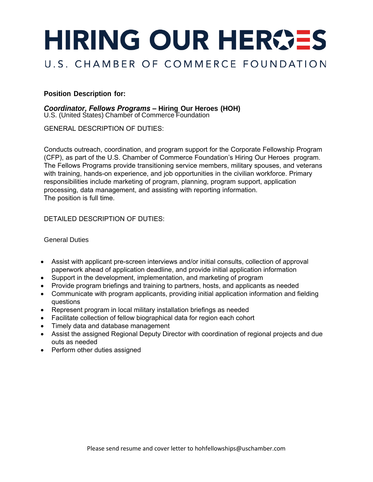# HIRING OUR HEROES

## U.S. CHAMBER OF COMMERCE FOUNDATION

## **Position Description for:**

## *Coordinator, Fellows Programs –* **Hiring Our Heroes (HOH)**

U.S. (United States) Chamber of Commerce Foundation

GENERAL DESCRIPTION OF DUTIES:

Conducts outreach, coordination, and program support for the Corporate Fellowship Program (CFP), as part of the U.S. Chamber of Commerce Foundation's Hiring Our Heroes program. The Fellows Programs provide transitioning service members, military spouses, and veterans with training, hands-on experience, and job opportunities in the civilian workforce. Primary responsibilities include marketing of program, planning, program support, application processing, data management, and assisting with reporting information. The position is full time.

## DETAILED DESCRIPTION OF DUTIES:

General Duties

- Assist with applicant pre-screen interviews and/or initial consults, collection of approval paperwork ahead of application deadline, and provide initial application information
- Support in the development, implementation, and marketing of program
- Provide program briefings and training to partners, hosts, and applicants as needed
- Communicate with program applicants, providing initial application information and fielding questions
- Represent program in local military installation briefings as needed
- Facilitate collection of fellow biographical data for region each cohort
- Timely data and database management
- Assist the assigned Regional Deputy Director with coordination of regional projects and due outs as needed
- Perform other duties assigned